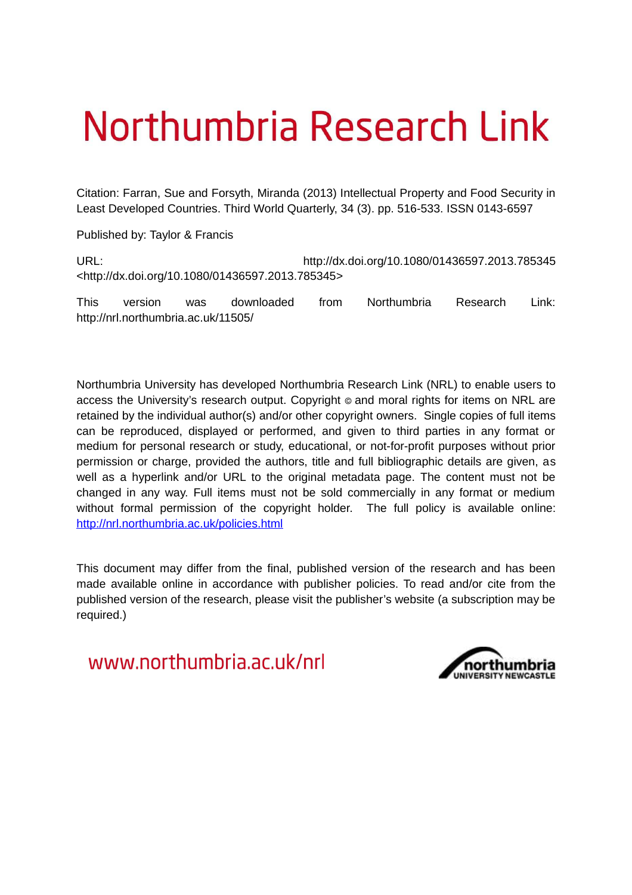# Northumbria Research Link

Citation: Farran, Sue and Forsyth, Miranda (2013) Intellectual Property and Food Security in Least Developed Countries. Third World Quarterly, 34 (3). pp. 516-533. ISSN 0143-6597

Published by: Taylor & Francis

URL: http://dx.doi.org/10.1080/01436597.2013.785345 <http://dx.doi.org/10.1080/01436597.2013.785345>

This version was downloaded from Northumbria Research Link: http://nrl.northumbria.ac.uk/11505/

Northumbria University has developed Northumbria Research Link (NRL) to enable users to access the University's research output. Copyright  $\circ$  and moral rights for items on NRL are retained by the individual author(s) and/or other copyright owners. Single copies of full items can be reproduced, displayed or performed, and given to third parties in any format or medium for personal research or study, educational, or not-for-profit purposes without prior permission or charge, provided the authors, title and full bibliographic details are given, as well as a hyperlink and/or URL to the original metadata page. The content must not be changed in any way. Full items must not be sold commercially in any format or medium without formal permission of the copyright holder. The full policy is available online: <http://nrl.northumbria.ac.uk/policies.html>

This document may differ from the final, published version of the research and has been made available online in accordance with publisher policies. To read and/or cite from the published version of the research, please visit the publisher's website (a subscription may be required.)

www.northumbria.ac.uk/nrl

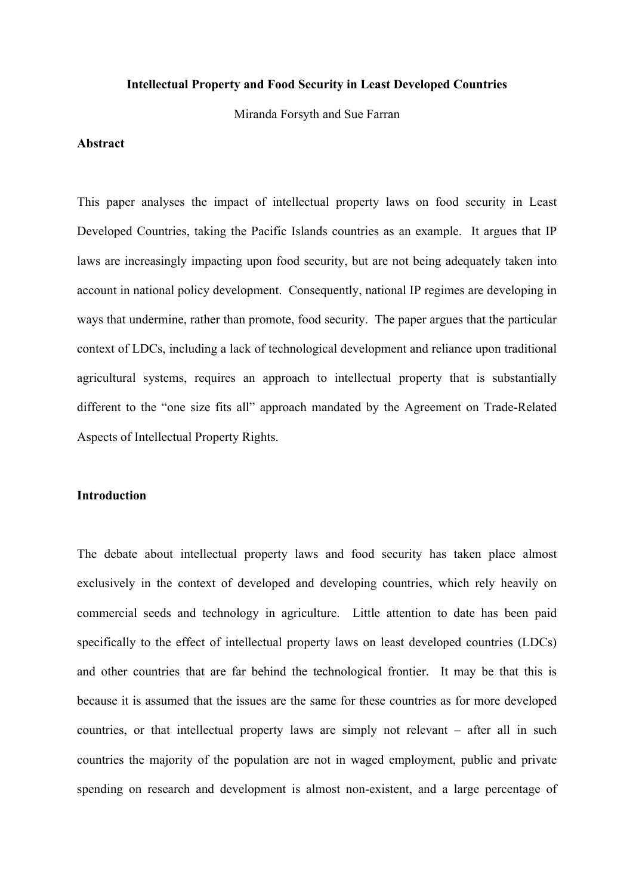#### **Intellectual Property and Food Security in Least Developed Countries**

Miranda Forsyth and Sue Farran

#### **Abstract**

This paper analyses the impact of intellectual property laws on food security in Least Developed Countries, taking the Pacific Islands countries as an example. It argues that IP laws are increasingly impacting upon food security, but are not being adequately taken into account in national policy development. Consequently, national IP regimes are developing in ways that undermine, rather than promote, food security. The paper argues that the particular context of LDCs, including a lack of technological development and reliance upon traditional agricultural systems, requires an approach to intellectual property that is substantially different to the "one size fits all" approach mandated by the Agreement on Trade-Related Aspects of Intellectual Property Rights.

### **Introduction**

The debate about intellectual property laws and food security has taken place almost exclusively in the context of developed and developing countries, which rely heavily on commercial seeds and technology in agriculture. Little attention to date has been paid specifically to the effect of intellectual property laws on least developed countries (LDCs) and other countries that are far behind the technological frontier. It may be that this is because it is assumed that the issues are the same for these countries as for more developed countries, or that intellectual property laws are simply not relevant – after all in such countries the majority of the population are not in waged employment, public and private spending on research and development is almost non-existent, and a large percentage of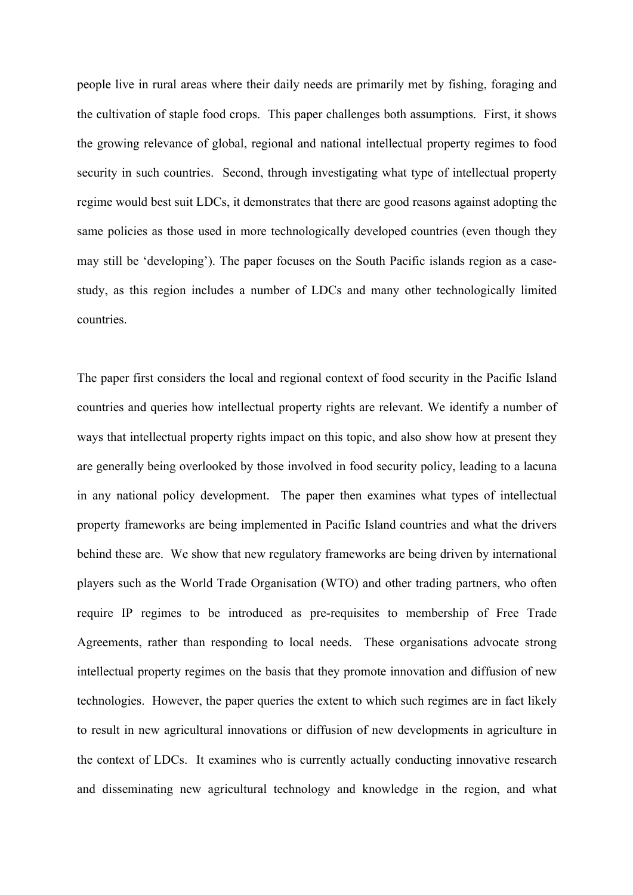people live in rural areas where their daily needs are primarily met by fishing, foraging and the cultivation of staple food crops. This paper challenges both assumptions. First, it shows the growing relevance of global, regional and national intellectual property regimes to food security in such countries. Second, through investigating what type of intellectual property regime would best suit LDCs, it demonstrates that there are good reasons against adopting the same policies as those used in more technologically developed countries (even though they may still be 'developing'). The paper focuses on the South Pacific islands region as a casestudy, as this region includes a number of LDCs and many other technologically limited countries.

The paper first considers the local and regional context of food security in the Pacific Island countries and queries how intellectual property rights are relevant. We identify a number of ways that intellectual property rights impact on this topic, and also show how at present they are generally being overlooked by those involved in food security policy, leading to a lacuna in any national policy development. The paper then examines what types of intellectual property frameworks are being implemented in Pacific Island countries and what the drivers behind these are. We show that new regulatory frameworks are being driven by international players such as the World Trade Organisation (WTO) and other trading partners, who often require IP regimes to be introduced as pre-requisites to membership of Free Trade Agreements, rather than responding to local needs. These organisations advocate strong intellectual property regimes on the basis that they promote innovation and diffusion of new technologies. However, the paper queries the extent to which such regimes are in fact likely to result in new agricultural innovations or diffusion of new developments in agriculture in the context of LDCs. It examines who is currently actually conducting innovative research and disseminating new agricultural technology and knowledge in the region, and what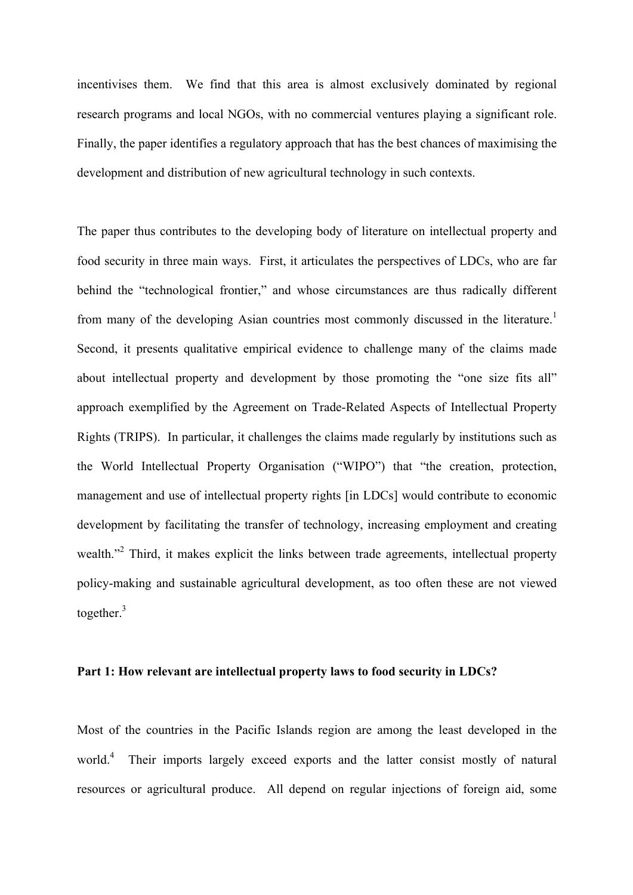incentivises them. We find that this area is almost exclusively dominated by regional research programs and local NGOs, with no commercial ventures playing a significant role. Finally, the paper identifies a regulatory approach that has the best chances of maximising the development and distribution of new agricultural technology in such contexts.

The paper thus contributes to the developing body of literature on intellectual property and food security in three main ways. First, it articulates the perspectives of LDCs, who are far behind the "technological frontier," and whose circumstances are thus radically different from many of the developing Asian countries most commonly discussed in the literature.<sup>1</sup> Second, it presents qualitative empirical evidence to challenge many of the claims made about intellectual property and development by those promoting the "one size fits all" approach exemplified by the Agreement on Trade-Related Aspects of Intellectual Property Rights (TRIPS). In particular, it challenges the claims made regularly by institutions such as the World Intellectual Property Organisation ("WIPO") that "the creation, protection, management and use of intellectual property rights [in LDCs] would contribute to economic development by facilitating the transfer of technology, increasing employment and creating wealth."<sup>2</sup> Third, it makes explicit the links between trade agreements, intellectual property policy-making and sustainable agricultural development, as too often these are not viewed together. $3$ 

### **Part 1: How relevant are intellectual property laws to food security in LDCs?**

Most of the countries in the Pacific Islands region are among the least developed in the world.<sup>4</sup> Their imports largely exceed exports and the latter consist mostly of natural resources or agricultural produce. All depend on regular injections of foreign aid, some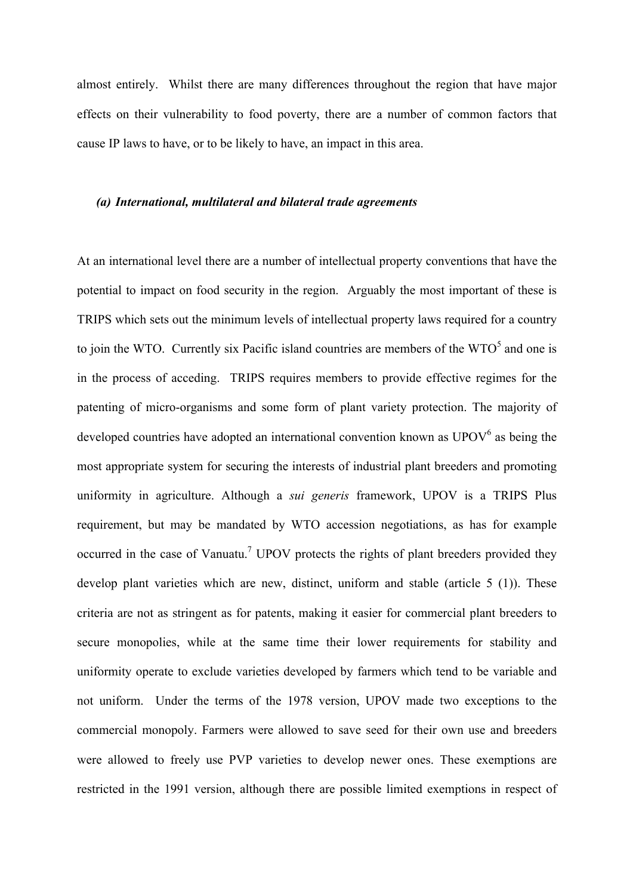almost entirely. Whilst there are many differences throughout the region that have major effects on their vulnerability to food poverty, there are a number of common factors that cause IP laws to have, or to be likely to have, an impact in this area.

#### *(a) International, multilateral and bilateral trade agreements*

At an international level there are a number of intellectual property conventions that have the potential to impact on food security in the region. Arguably the most important of these is TRIPS which sets out the minimum levels of intellectual property laws required for a country to join the WTO. Currently six Pacific island countries are members of the  $WTO<sup>5</sup>$  and one is in the process of acceding. TRIPS requires members to provide effective regimes for the patenting of micro-organisms and some form of plant variety protection. The majority of developed countries have adopted an international convention known as  $UPOV<sup>6</sup>$  as being the most appropriate system for securing the interests of industrial plant breeders and promoting uniformity in agriculture. Although a *sui generis* framework, UPOV is a TRIPS Plus requirement, but may be mandated by WTO accession negotiations, as has for example occurred in the case of Vanuatu.<sup>7</sup> UPOV protects the rights of plant breeders provided they develop plant varieties which are new, distinct, uniform and stable (article 5 (1)). These criteria are not as stringent as for patents, making it easier for commercial plant breeders to secure monopolies, while at the same time their lower requirements for stability and uniformity operate to exclude varieties developed by farmers which tend to be variable and not uniform. Under the terms of the 1978 version, UPOV made two exceptions to the commercial monopoly. Farmers were allowed to save seed for their own use and breeders were allowed to freely use PVP varieties to develop newer ones. These exemptions are restricted in the 1991 version, although there are possible limited exemptions in respect of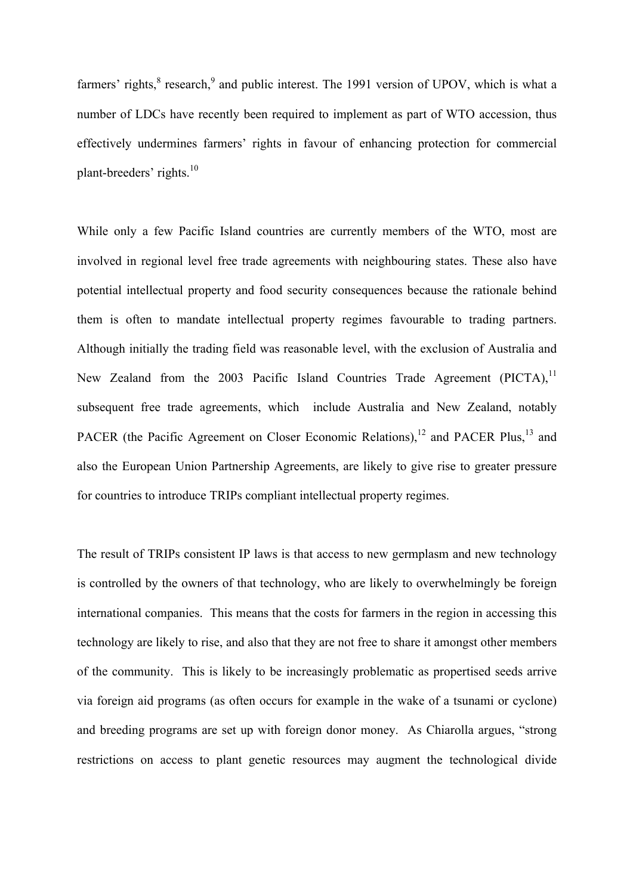farmers' rights, ${}^{8}$  research, ${}^{9}$  and public interest. The 1991 version of UPOV, which is what a number of LDCs have recently been required to implement as part of WTO accession, thus effectively undermines farmers' rights in favour of enhancing protection for commercial plant-breeders' rights.<sup>10</sup>

While only a few Pacific Island countries are currently members of the WTO, most are involved in regional level free trade agreements with neighbouring states. These also have potential intellectual property and food security consequences because the rationale behind them is often to mandate intellectual property regimes favourable to trading partners. Although initially the trading field was reasonable level, with the exclusion of Australia and New Zealand from the 2003 Pacific Island Countries Trade Agreement  $(PICTA)$ ,<sup>11</sup> subsequent free trade agreements, which include Australia and New Zealand, notably PACER (the Pacific Agreement on Closer Economic Relations),<sup>12</sup> and PACER Plus,<sup>13</sup> and also the European Union Partnership Agreements, are likely to give rise to greater pressure for countries to introduce TRIPs compliant intellectual property regimes.

The result of TRIPs consistent IP laws is that access to new germplasm and new technology is controlled by the owners of that technology, who are likely to overwhelmingly be foreign international companies. This means that the costs for farmers in the region in accessing this technology are likely to rise, and also that they are not free to share it amongst other members of the community. This is likely to be increasingly problematic as propertised seeds arrive via foreign aid programs (as often occurs for example in the wake of a tsunami or cyclone) and breeding programs are set up with foreign donor money. As Chiarolla argues, "strong restrictions on access to plant genetic resources may augment the technological divide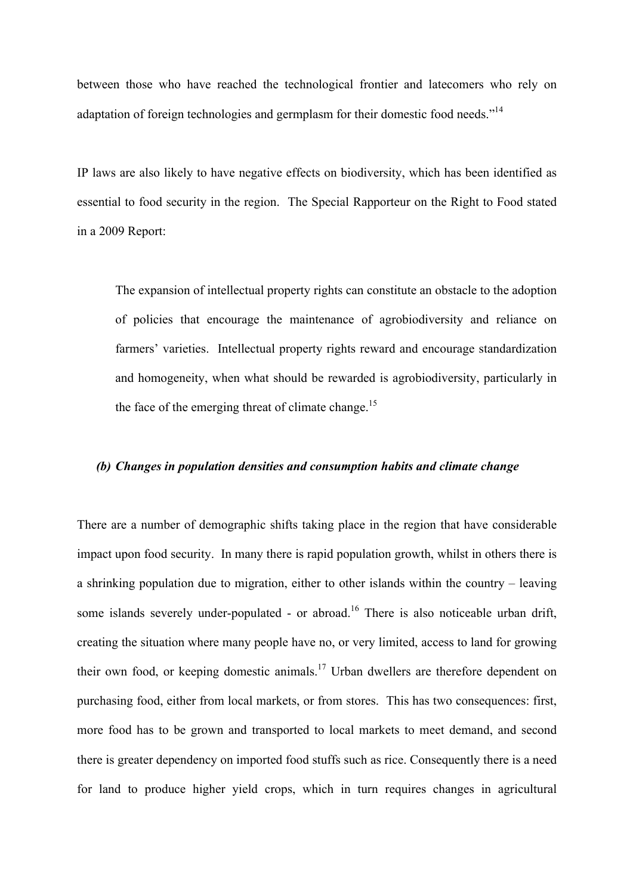between those who have reached the technological frontier and latecomers who rely on adaptation of foreign technologies and germplasm for their domestic food needs."<sup>14</sup>

IP laws are also likely to have negative effects on biodiversity, which has been identified as essential to food security in the region. The Special Rapporteur on the Right to Food stated in a 2009 Report:

The expansion of intellectual property rights can constitute an obstacle to the adoption of policies that encourage the maintenance of agrobiodiversity and reliance on farmers' varieties. Intellectual property rights reward and encourage standardization and homogeneity, when what should be rewarded is agrobiodiversity, particularly in the face of the emerging threat of climate change.<sup>15</sup>

#### *(b) Changes in population densities and consumption habits and climate change*

There are a number of demographic shifts taking place in the region that have considerable impact upon food security. In many there is rapid population growth, whilst in others there is a shrinking population due to migration, either to other islands within the country – leaving some islands severely under-populated - or abroad.<sup>16</sup> There is also noticeable urban drift, creating the situation where many people have no, or very limited, access to land for growing their own food, or keeping domestic animals.<sup>17</sup> Urban dwellers are therefore dependent on purchasing food, either from local markets, or from stores. This has two consequences: first, more food has to be grown and transported to local markets to meet demand, and second there is greater dependency on imported food stuffs such as rice. Consequently there is a need for land to produce higher yield crops, which in turn requires changes in agricultural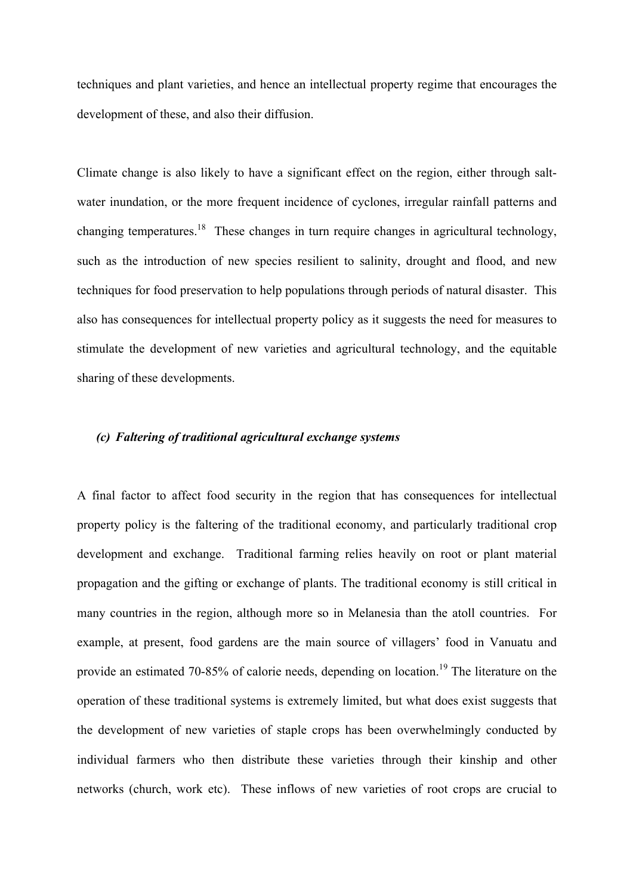techniques and plant varieties, and hence an intellectual property regime that encourages the development of these, and also their diffusion.

Climate change is also likely to have a significant effect on the region, either through saltwater inundation, or the more frequent incidence of cyclones, irregular rainfall patterns and changing temperatures.<sup>18</sup> These changes in turn require changes in agricultural technology, such as the introduction of new species resilient to salinity, drought and flood, and new techniques for food preservation to help populations through periods of natural disaster. This also has consequences for intellectual property policy as it suggests the need for measures to stimulate the development of new varieties and agricultural technology, and the equitable sharing of these developments.

### *(c) Faltering of traditional agricultural exchange systems*

A final factor to affect food security in the region that has consequences for intellectual property policy is the faltering of the traditional economy, and particularly traditional crop development and exchange. Traditional farming relies heavily on root or plant material propagation and the gifting or exchange of plants. The traditional economy is still critical in many countries in the region, although more so in Melanesia than the atoll countries. For example, at present, food gardens are the main source of villagers' food in Vanuatu and provide an estimated 70-85% of calorie needs, depending on location.<sup>19</sup> The literature on the operation of these traditional systems is extremely limited, but what does exist suggests that the development of new varieties of staple crops has been overwhelmingly conducted by individual farmers who then distribute these varieties through their kinship and other networks (church, work etc). These inflows of new varieties of root crops are crucial to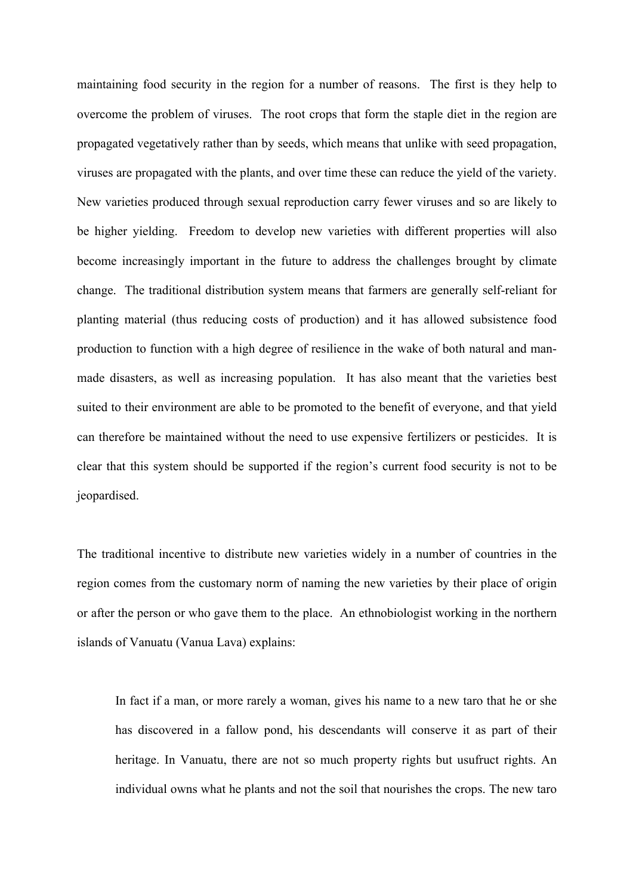maintaining food security in the region for a number of reasons. The first is they help to overcome the problem of viruses. The root crops that form the staple diet in the region are propagated vegetatively rather than by seeds, which means that unlike with seed propagation, viruses are propagated with the plants, and over time these can reduce the yield of the variety. New varieties produced through sexual reproduction carry fewer viruses and so are likely to be higher yielding. Freedom to develop new varieties with different properties will also become increasingly important in the future to address the challenges brought by climate change. The traditional distribution system means that farmers are generally self-reliant for planting material (thus reducing costs of production) and it has allowed subsistence food production to function with a high degree of resilience in the wake of both natural and manmade disasters, as well as increasing population. It has also meant that the varieties best suited to their environment are able to be promoted to the benefit of everyone, and that yield can therefore be maintained without the need to use expensive fertilizers or pesticides. It is clear that this system should be supported if the region's current food security is not to be jeopardised.

The traditional incentive to distribute new varieties widely in a number of countries in the region comes from the customary norm of naming the new varieties by their place of origin or after the person or who gave them to the place. An ethnobiologist working in the northern islands of Vanuatu (Vanua Lava) explains:

In fact if a man, or more rarely a woman, gives his name to a new taro that he or she has discovered in a fallow pond, his descendants will conserve it as part of their heritage. In Vanuatu, there are not so much property rights but usufruct rights. An individual owns what he plants and not the soil that nourishes the crops. The new taro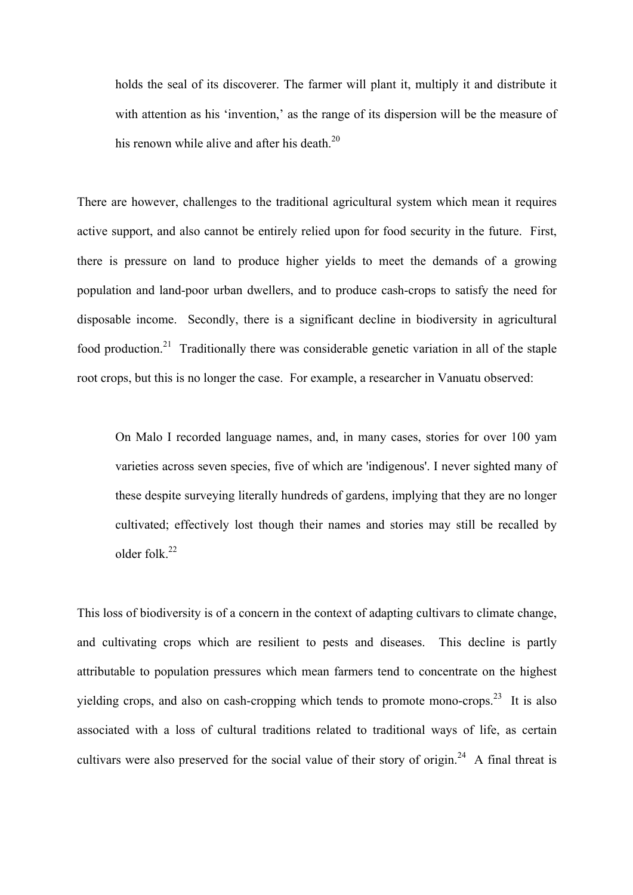holds the seal of its discoverer. The farmer will plant it, multiply it and distribute it with attention as his 'invention,' as the range of its dispersion will be the measure of his renown while alive and after his death. $20$ 

There are however, challenges to the traditional agricultural system which mean it requires active support, and also cannot be entirely relied upon for food security in the future. First, there is pressure on land to produce higher yields to meet the demands of a growing population and land-poor urban dwellers, and to produce cash-crops to satisfy the need for disposable income. Secondly, there is a significant decline in biodiversity in agricultural food production.<sup>21</sup> Traditionally there was considerable genetic variation in all of the staple root crops, but this is no longer the case. For example, a researcher in Vanuatu observed:

On Malo I recorded language names, and, in many cases, stories for over 100 yam varieties across seven species, five of which are 'indigenous'. I never sighted many of these despite surveying literally hundreds of gardens, implying that they are no longer cultivated; effectively lost though their names and stories may still be recalled by older folk. $22$ 

This loss of biodiversity is of a concern in the context of adapting cultivars to climate change, and cultivating crops which are resilient to pests and diseases. This decline is partly attributable to population pressures which mean farmers tend to concentrate on the highest yielding crops, and also on cash-cropping which tends to promote mono-crops.<sup>23</sup> It is also associated with a loss of cultural traditions related to traditional ways of life, as certain cultivars were also preserved for the social value of their story of origin.<sup>24</sup> A final threat is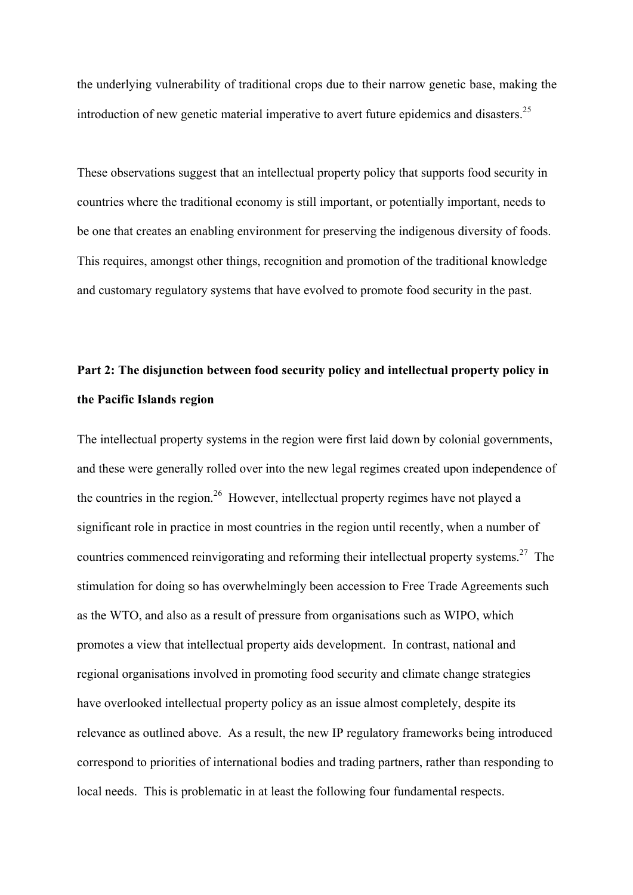the underlying vulnerability of traditional crops due to their narrow genetic base, making the introduction of new genetic material imperative to avert future epidemics and disasters.<sup>25</sup>

These observations suggest that an intellectual property policy that supports food security in countries where the traditional economy is still important, or potentially important, needs to be one that creates an enabling environment for preserving the indigenous diversity of foods. This requires, amongst other things, recognition and promotion of the traditional knowledge and customary regulatory systems that have evolved to promote food security in the past.

# **Part 2: The disjunction between food security policy and intellectual property policy in the Pacific Islands region**

The intellectual property systems in the region were first laid down by colonial governments, and these were generally rolled over into the new legal regimes created upon independence of the countries in the region.<sup>26</sup> However, intellectual property regimes have not played a significant role in practice in most countries in the region until recently, when a number of countries commenced reinvigorating and reforming their intellectual property systems.<sup>27</sup> The stimulation for doing so has overwhelmingly been accession to Free Trade Agreements such as the WTO, and also as a result of pressure from organisations such as WIPO, which promotes a view that intellectual property aids development. In contrast, national and regional organisations involved in promoting food security and climate change strategies have overlooked intellectual property policy as an issue almost completely, despite its relevance as outlined above. As a result, the new IP regulatory frameworks being introduced correspond to priorities of international bodies and trading partners, rather than responding to local needs. This is problematic in at least the following four fundamental respects.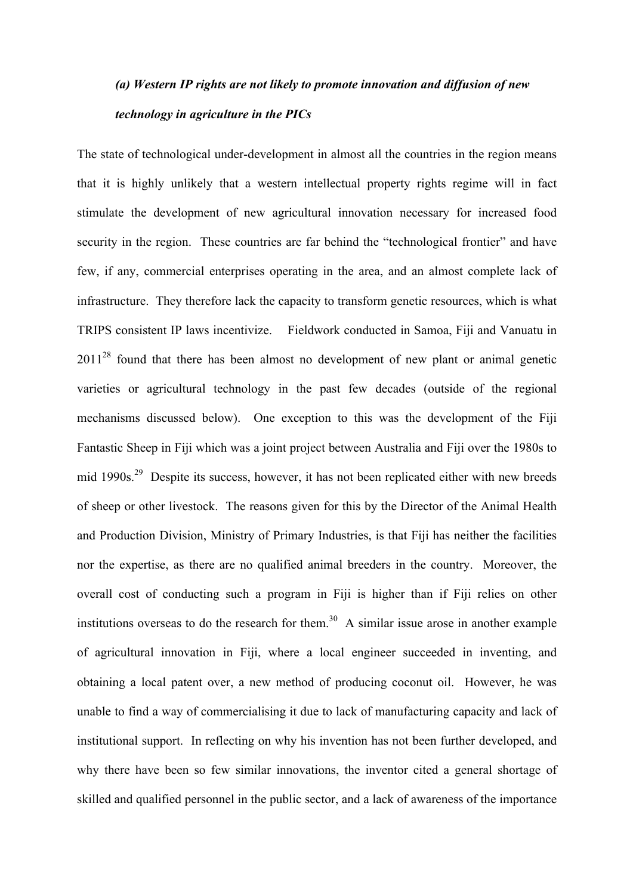# *(a) Western IP rights are not likely to promote innovation and diffusion of new technology in agriculture in the PICs*

The state of technological under-development in almost all the countries in the region means that it is highly unlikely that a western intellectual property rights regime will in fact stimulate the development of new agricultural innovation necessary for increased food security in the region. These countries are far behind the "technological frontier" and have few, if any, commercial enterprises operating in the area, and an almost complete lack of infrastructure. They therefore lack the capacity to transform genetic resources, which is what TRIPS consistent IP laws incentivize. Fieldwork conducted in Samoa, Fiji and Vanuatu in 2011<sup>28</sup> found that there has been almost no development of new plant or animal genetic varieties or agricultural technology in the past few decades (outside of the regional mechanisms discussed below). One exception to this was the development of the Fiji Fantastic Sheep in Fiji which was a joint project between Australia and Fiji over the 1980s to mid 1990s.<sup>29</sup> Despite its success, however, it has not been replicated either with new breeds of sheep or other livestock. The reasons given for this by the Director of the Animal Health and Production Division, Ministry of Primary Industries, is that Fiji has neither the facilities nor the expertise, as there are no qualified animal breeders in the country. Moreover, the overall cost of conducting such a program in Fiji is higher than if Fiji relies on other institutions overseas to do the research for them.<sup>30</sup> A similar issue arose in another example of agricultural innovation in Fiji, where a local engineer succeeded in inventing, and obtaining a local patent over, a new method of producing coconut oil. However, he was unable to find a way of commercialising it due to lack of manufacturing capacity and lack of institutional support. In reflecting on why his invention has not been further developed, and why there have been so few similar innovations, the inventor cited a general shortage of skilled and qualified personnel in the public sector, and a lack of awareness of the importance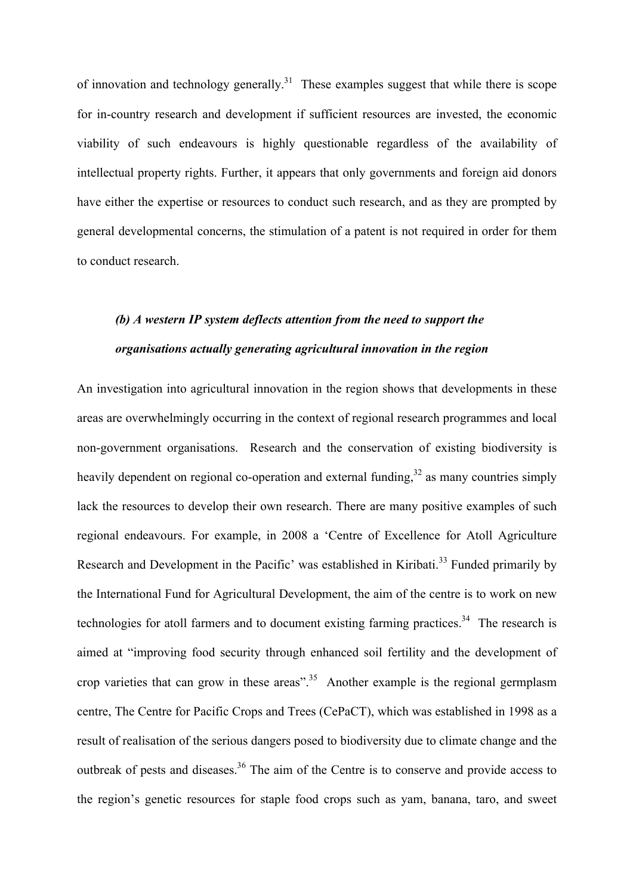of innovation and technology generally.<sup>31</sup> These examples suggest that while there is scope for in-country research and development if sufficient resources are invested, the economic viability of such endeavours is highly questionable regardless of the availability of intellectual property rights. Further, it appears that only governments and foreign aid donors have either the expertise or resources to conduct such research, and as they are prompted by general developmental concerns, the stimulation of a patent is not required in order for them to conduct research.

## *(b) A western IP system deflects attention from the need to support the organisations actually generating agricultural innovation in the region*

An investigation into agricultural innovation in the region shows that developments in these areas are overwhelmingly occurring in the context of regional research programmes and local non-government organisations. Research and the conservation of existing biodiversity is heavily dependent on regional co-operation and external funding.<sup>32</sup> as many countries simply lack the resources to develop their own research. There are many positive examples of such regional endeavours. For example, in 2008 a 'Centre of Excellence for Atoll Agriculture Research and Development in the Pacific' was established in Kiribati.<sup>33</sup> Funded primarily by the International Fund for Agricultural Development, the aim of the centre is to work on new technologies for atoll farmers and to document existing farming practices.<sup>34</sup> The research is aimed at "improving food security through enhanced soil fertility and the development of crop varieties that can grow in these areas".<sup>35</sup> Another example is the regional germplasm centre, The Centre for Pacific Crops and Trees (CePaCT), which was established in 1998 as a result of realisation of the serious dangers posed to biodiversity due to climate change and the outbreak of pests and diseases.<sup>36</sup> The aim of the Centre is to conserve and provide access to the region's genetic resources for staple food crops such as yam, banana, taro, and sweet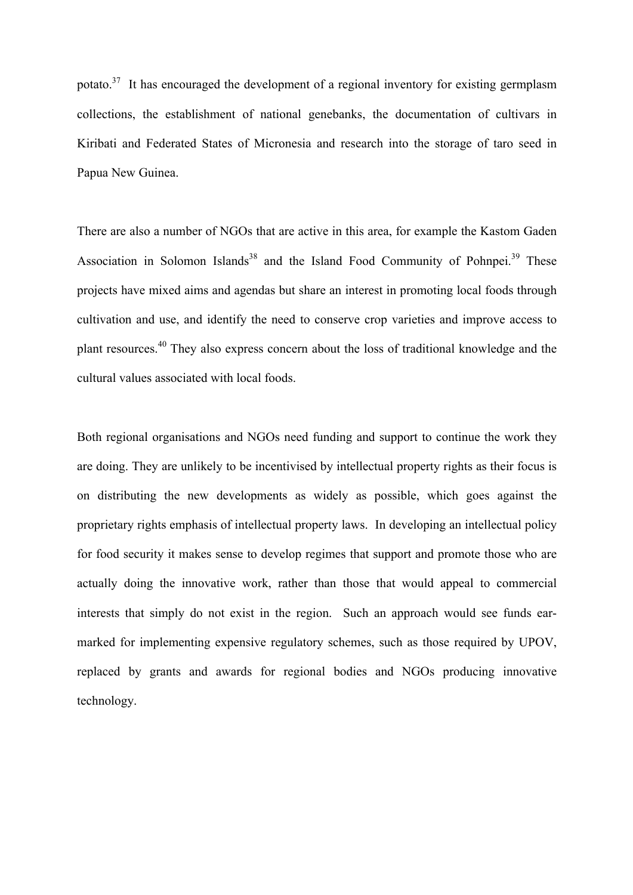potato.<sup>37</sup> It has encouraged the development of a regional inventory for existing germplasm collections, the establishment of national genebanks, the documentation of cultivars in Kiribati and Federated States of Micronesia and research into the storage of taro seed in Papua New Guinea.

There are also a number of NGOs that are active in this area, for example the Kastom Gaden Association in Solomon Islands<sup>38</sup> and the Island Food Community of Pohnpei.<sup>39</sup> These projects have mixed aims and agendas but share an interest in promoting local foods through cultivation and use, and identify the need to conserve crop varieties and improve access to plant resources.<sup>40</sup> They also express concern about the loss of traditional knowledge and the cultural values associated with local foods.

Both regional organisations and NGOs need funding and support to continue the work they are doing. They are unlikely to be incentivised by intellectual property rights as their focus is on distributing the new developments as widely as possible, which goes against the proprietary rights emphasis of intellectual property laws. In developing an intellectual policy for food security it makes sense to develop regimes that support and promote those who are actually doing the innovative work, rather than those that would appeal to commercial interests that simply do not exist in the region. Such an approach would see funds earmarked for implementing expensive regulatory schemes, such as those required by UPOV, replaced by grants and awards for regional bodies and NGOs producing innovative technology.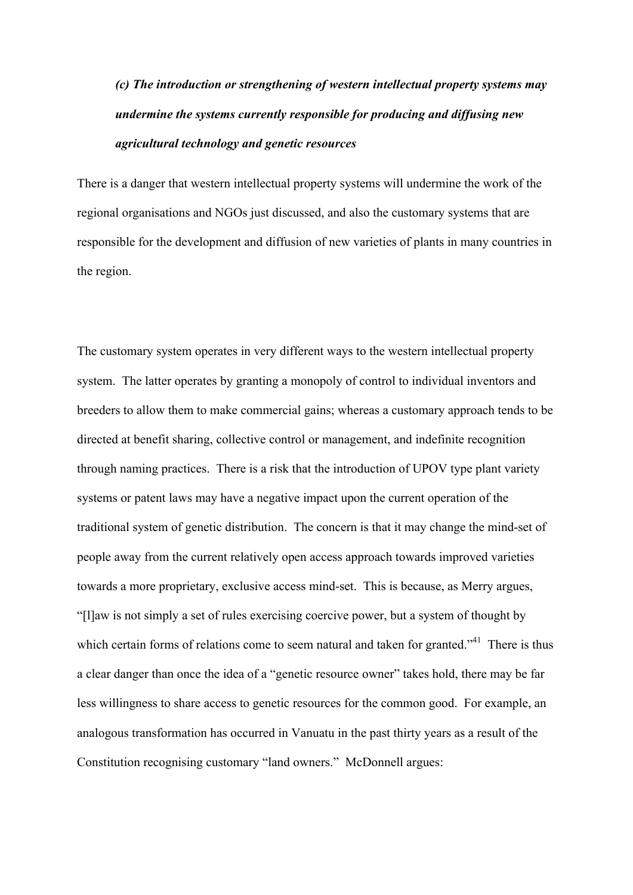*(c) The introduction or strengthening of western intellectual property systems may undermine the systems currently responsible for producing and diffusing new agricultural technology and genetic resources*

There is a danger that western intellectual property systems will undermine the work of the regional organisations and NGOs just discussed, and also the customary systems that are responsible for the development and diffusion of new varieties of plants in many countries in the region.

The customary system operates in very different ways to the western intellectual property system. The latter operates by granting a monopoly of control to individual inventors and breeders to allow them to make commercial gains; whereas a customary approach tends to be directed at benefit sharing, collective control or management, and indefinite recognition through naming practices. There is a risk that the introduction of UPOV type plant variety systems or patent laws may have a negative impact upon the current operation of the traditional system of genetic distribution. The concern is that it may change the mind-set of people away from the current relatively open access approach towards improved varieties towards a more proprietary, exclusive access mind-set. This is because, as Merry argues, "[l]aw is not simply a set of rules exercising coercive power, but a system of thought by which certain forms of relations come to seem natural and taken for granted."<sup>41</sup> There is thus a clear danger than once the idea of a "genetic resource owner" takes hold, there may be far less willingness to share access to genetic resources for the common good. For example, an analogous transformation has occurred in Vanuatu in the past thirty years as a result of the Constitution recognising customary "land owners." McDonnell argues: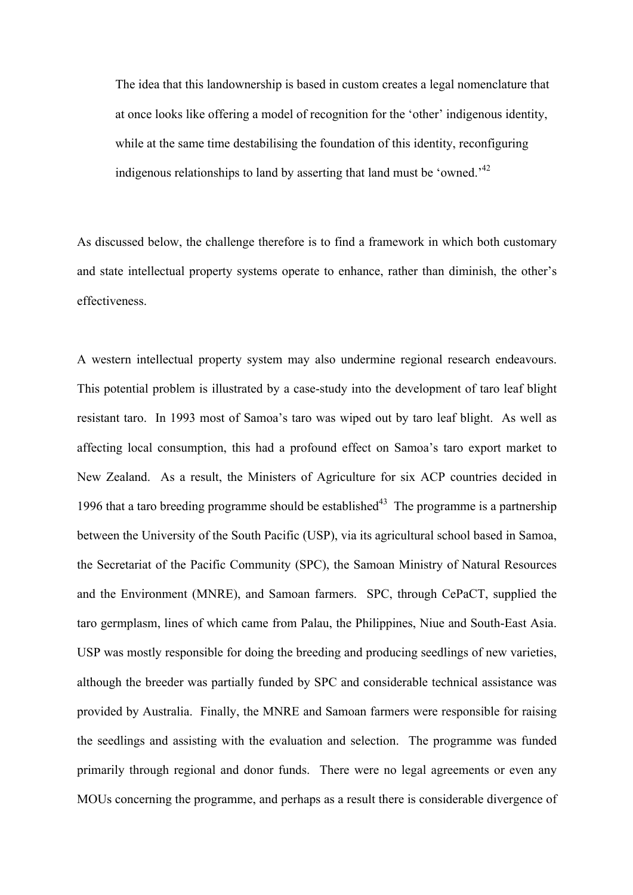The idea that this landownership is based in custom creates a legal nomenclature that at once looks like offering a model of recognition for the 'other' indigenous identity, while at the same time destabilising the foundation of this identity, reconfiguring indigenous relationships to land by asserting that land must be 'owned.<sup> $1/2$ </sup>

As discussed below, the challenge therefore is to find a framework in which both customary and state intellectual property systems operate to enhance, rather than diminish, the other's effectiveness.

A western intellectual property system may also undermine regional research endeavours. This potential problem is illustrated by a case-study into the development of taro leaf blight resistant taro. In 1993 most of Samoa's taro was wiped out by taro leaf blight. As well as affecting local consumption, this had a profound effect on Samoa's taro export market to New Zealand. As a result, the Ministers of Agriculture for six ACP countries decided in 1996 that a taro breeding programme should be established $43$  The programme is a partnership between the University of the South Pacific (USP), via its agricultural school based in Samoa, the Secretariat of the Pacific Community (SPC), the Samoan Ministry of Natural Resources and the Environment (MNRE), and Samoan farmers. SPC, through CePaCT, supplied the taro germplasm, lines of which came from Palau, the Philippines, Niue and South-East Asia. USP was mostly responsible for doing the breeding and producing seedlings of new varieties, although the breeder was partially funded by SPC and considerable technical assistance was provided by Australia. Finally, the MNRE and Samoan farmers were responsible for raising the seedlings and assisting with the evaluation and selection. The programme was funded primarily through regional and donor funds. There were no legal agreements or even any MOUs concerning the programme, and perhaps as a result there is considerable divergence of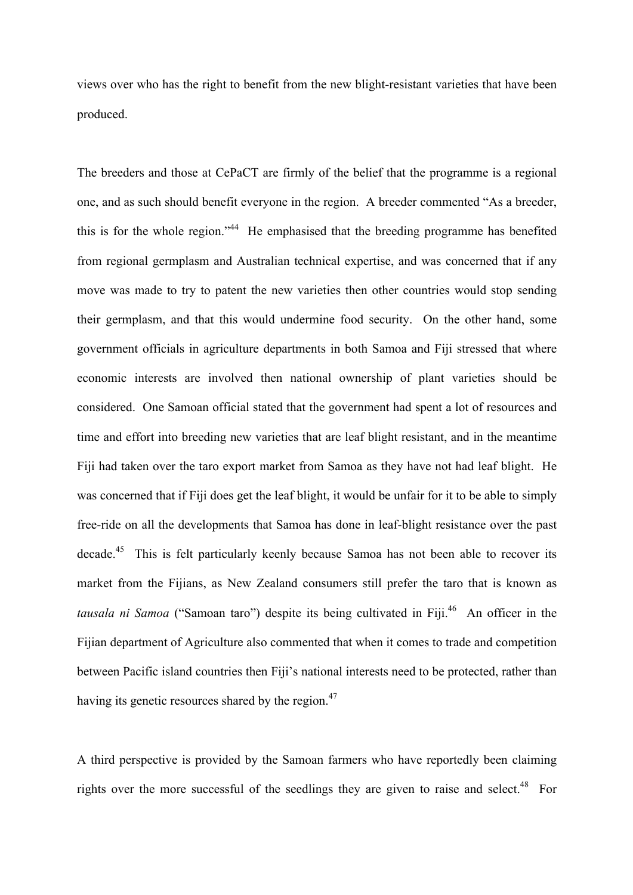views over who has the right to benefit from the new blight-resistant varieties that have been produced.

The breeders and those at CePaCT are firmly of the belief that the programme is a regional one, and as such should benefit everyone in the region. A breeder commented "As a breeder, this is for the whole region."<sup>44</sup> He emphasised that the breeding programme has benefited from regional germplasm and Australian technical expertise, and was concerned that if any move was made to try to patent the new varieties then other countries would stop sending their germplasm, and that this would undermine food security. On the other hand, some government officials in agriculture departments in both Samoa and Fiji stressed that where economic interests are involved then national ownership of plant varieties should be considered. One Samoan official stated that the government had spent a lot of resources and time and effort into breeding new varieties that are leaf blight resistant, and in the meantime Fiji had taken over the taro export market from Samoa as they have not had leaf blight. He was concerned that if Fiji does get the leaf blight, it would be unfair for it to be able to simply free-ride on all the developments that Samoa has done in leaf-blight resistance over the past decade.<sup>45</sup> This is felt particularly keenly because Samoa has not been able to recover its market from the Fijians, as New Zealand consumers still prefer the taro that is known as tausala ni Samoa ("Samoan taro") despite its being cultivated in Fiji.<sup>46</sup> An officer in the Fijian department of Agriculture also commented that when it comes to trade and competition between Pacific island countries then Fiji's national interests need to be protected, rather than having its genetic resources shared by the region.<sup>47</sup>

A third perspective is provided by the Samoan farmers who have reportedly been claiming rights over the more successful of the seedlings they are given to raise and select.<sup>48</sup> For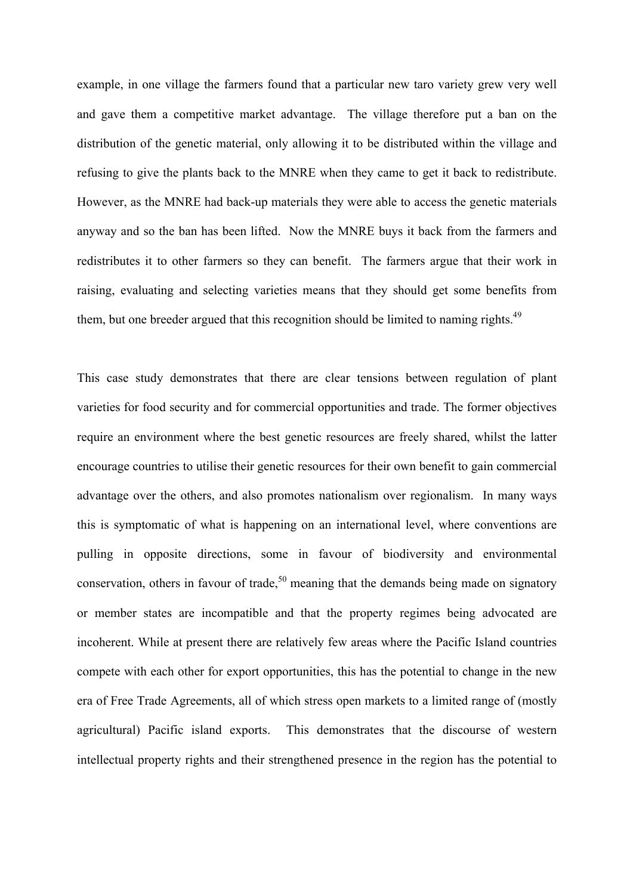example, in one village the farmers found that a particular new taro variety grew very well and gave them a competitive market advantage. The village therefore put a ban on the distribution of the genetic material, only allowing it to be distributed within the village and refusing to give the plants back to the MNRE when they came to get it back to redistribute. However, as the MNRE had back-up materials they were able to access the genetic materials anyway and so the ban has been lifted. Now the MNRE buys it back from the farmers and redistributes it to other farmers so they can benefit. The farmers argue that their work in raising, evaluating and selecting varieties means that they should get some benefits from them, but one breeder argued that this recognition should be limited to naming rights.<sup>49</sup>

This case study demonstrates that there are clear tensions between regulation of plant varieties for food security and for commercial opportunities and trade. The former objectives require an environment where the best genetic resources are freely shared, whilst the latter encourage countries to utilise their genetic resources for their own benefit to gain commercial advantage over the others, and also promotes nationalism over regionalism. In many ways this is symptomatic of what is happening on an international level, where conventions are pulling in opposite directions, some in favour of biodiversity and environmental conservation, others in favour of trade,<sup>50</sup> meaning that the demands being made on signatory or member states are incompatible and that the property regimes being advocated are incoherent. While at present there are relatively few areas where the Pacific Island countries compete with each other for export opportunities, this has the potential to change in the new era of Free Trade Agreements, all of which stress open markets to a limited range of (mostly agricultural) Pacific island exports. This demonstrates that the discourse of western intellectual property rights and their strengthened presence in the region has the potential to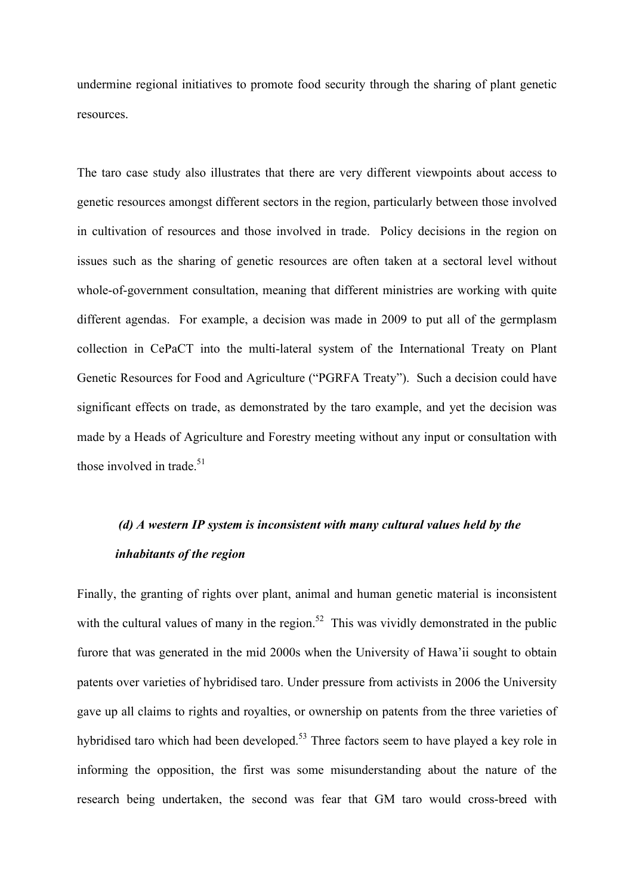undermine regional initiatives to promote food security through the sharing of plant genetic resources.

The taro case study also illustrates that there are very different viewpoints about access to genetic resources amongst different sectors in the region, particularly between those involved in cultivation of resources and those involved in trade. Policy decisions in the region on issues such as the sharing of genetic resources are often taken at a sectoral level without whole-of-government consultation, meaning that different ministries are working with quite different agendas. For example, a decision was made in 2009 to put all of the germplasm collection in CePaCT into the multi-lateral system of the International Treaty on Plant Genetic Resources for Food and Agriculture ("PGRFA Treaty"). Such a decision could have significant effects on trade, as demonstrated by the taro example, and yet the decision was made by a Heads of Agriculture and Forestry meeting without any input or consultation with those involved in trade. $51$ 

# *(d) A western IP system is inconsistent with many cultural values held by the inhabitants of the region*

Finally, the granting of rights over plant, animal and human genetic material is inconsistent with the cultural values of many in the region.<sup>52</sup> This was vividly demonstrated in the public furore that was generated in the mid 2000s when the University of Hawa'ii sought to obtain patents over varieties of hybridised taro. Under pressure from activists in 2006 the University gave up all claims to rights and royalties, or ownership on patents from the three varieties of hybridised taro which had been developed.<sup>53</sup> Three factors seem to have played a key role in informing the opposition, the first was some misunderstanding about the nature of the research being undertaken, the second was fear that GM taro would cross-breed with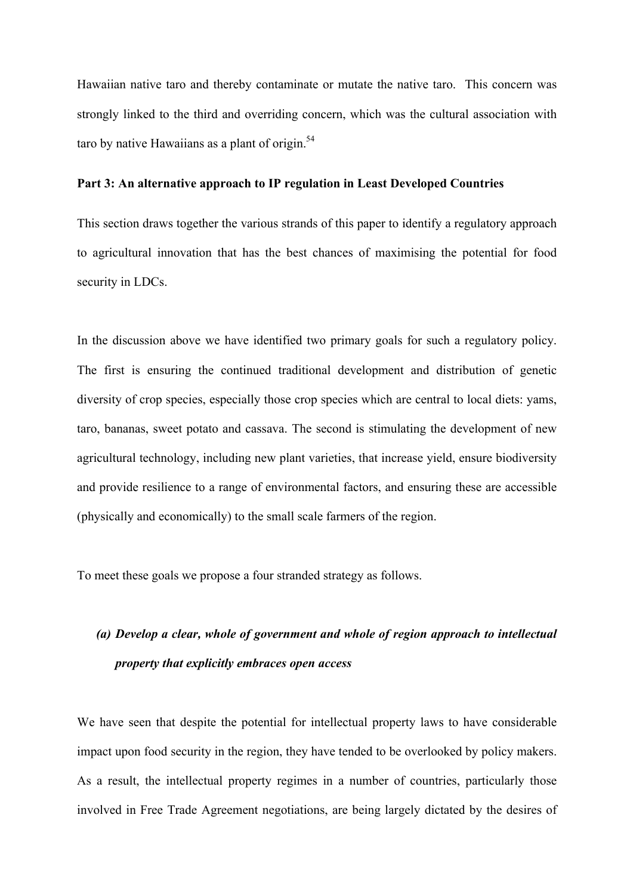Hawaiian native taro and thereby contaminate or mutate the native taro. This concern was strongly linked to the third and overriding concern, which was the cultural association with taro by native Hawaiians as a plant of origin. $54$ 

### **Part 3: An alternative approach to IP regulation in Least Developed Countries**

This section draws together the various strands of this paper to identify a regulatory approach to agricultural innovation that has the best chances of maximising the potential for food security in LDCs.

In the discussion above we have identified two primary goals for such a regulatory policy. The first is ensuring the continued traditional development and distribution of genetic diversity of crop species, especially those crop species which are central to local diets: yams, taro, bananas, sweet potato and cassava. The second is stimulating the development of new agricultural technology, including new plant varieties, that increase yield, ensure biodiversity and provide resilience to a range of environmental factors, and ensuring these are accessible (physically and economically) to the small scale farmers of the region.

To meet these goals we propose a four stranded strategy as follows.

# *(a) Develop a clear, whole of government and whole of region approach to intellectual property that explicitly embraces open access*

We have seen that despite the potential for intellectual property laws to have considerable impact upon food security in the region, they have tended to be overlooked by policy makers. As a result, the intellectual property regimes in a number of countries, particularly those involved in Free Trade Agreement negotiations, are being largely dictated by the desires of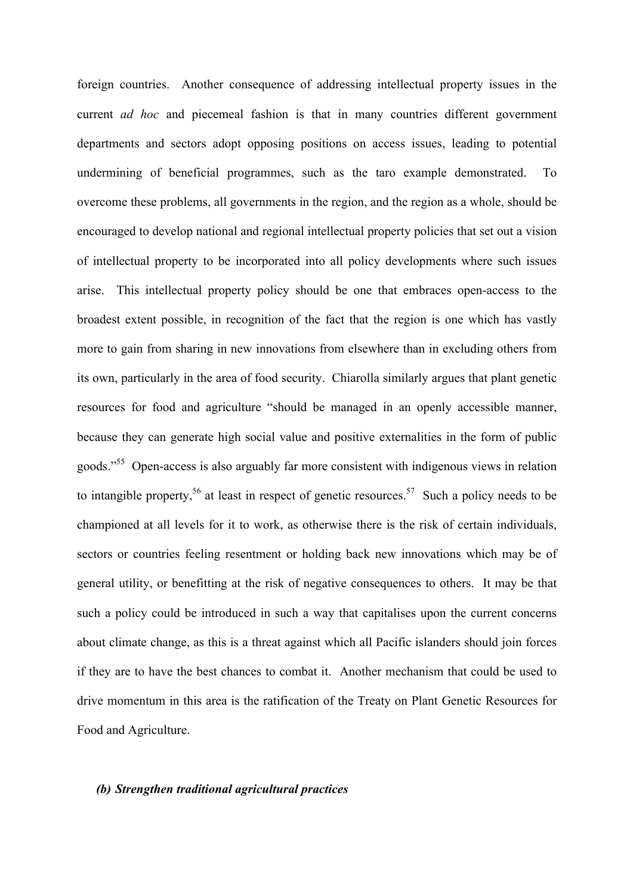foreign countries. Another consequence of addressing intellectual property issues in the current *ad hoc* and piecemeal fashion is that in many countries different government departments and sectors adopt opposing positions on access issues, leading to potential undermining of beneficial programmes, such as the taro example demonstrated. To overcome these problems, all governments in the region, and the region as a whole, should be encouraged to develop national and regional intellectual property policies that set out a vision of intellectual property to be incorporated into all policy developments where such issues arise. This intellectual property policy should be one that embraces open-access to the broadest extent possible, in recognition of the fact that the region is one which has vastly more to gain from sharing in new innovations from elsewhere than in excluding others from its own, particularly in the area of food security. Chiarolla similarly argues that plant genetic resources for food and agriculture "should be managed in an openly accessible manner, because they can generate high social value and positive externalities in the form of public goods."<sup>55</sup> Open-access is also arguably far more consistent with indigenous views in relation to intangible property,<sup>56</sup> at least in respect of genetic resources.<sup>57</sup> Such a policy needs to be championed at all levels for it to work, as otherwise there is the risk of certain individuals, sectors or countries feeling resentment or holding back new innovations which may be of general utility, or benefitting at the risk of negative consequences to others. It may be that such a policy could be introduced in such a way that capitalises upon the current concerns about climate change, as this is a threat against which all Pacific islanders should join forces if they are to have the best chances to combat it. Another mechanism that could be used to drive momentum in this area is the ratification of the Treaty on Plant Genetic Resources for Food and Agriculture.

### *(b) Strengthen traditional agricultural practices*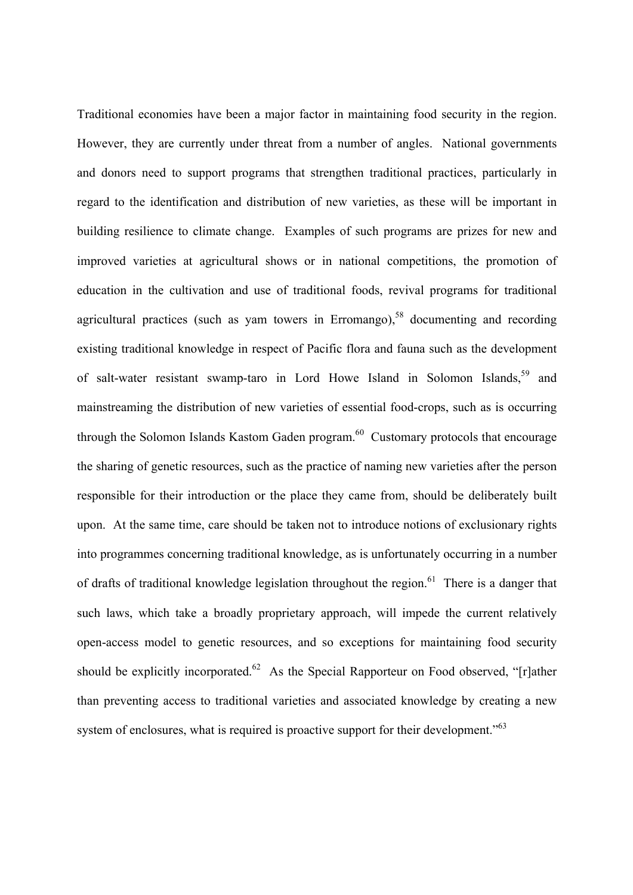Traditional economies have been a major factor in maintaining food security in the region. However, they are currently under threat from a number of angles. National governments and donors need to support programs that strengthen traditional practices, particularly in regard to the identification and distribution of new varieties, as these will be important in building resilience to climate change. Examples of such programs are prizes for new and improved varieties at agricultural shows or in national competitions, the promotion of education in the cultivation and use of traditional foods, revival programs for traditional agricultural practices (such as yam towers in Erromango),<sup>58</sup> documenting and recording existing traditional knowledge in respect of Pacific flora and fauna such as the development of salt-water resistant swamp-taro in Lord Howe Island in Solomon Islands,<sup>59</sup> and mainstreaming the distribution of new varieties of essential food-crops, such as is occurring through the Solomon Islands Kastom Gaden program. $60$  Customary protocols that encourage the sharing of genetic resources, such as the practice of naming new varieties after the person responsible for their introduction or the place they came from, should be deliberately built upon. At the same time, care should be taken not to introduce notions of exclusionary rights into programmes concerning traditional knowledge, as is unfortunately occurring in a number of drafts of traditional knowledge legislation throughout the region.<sup>61</sup> There is a danger that such laws, which take a broadly proprietary approach, will impede the current relatively open-access model to genetic resources, and so exceptions for maintaining food security should be explicitly incorporated.<sup>62</sup> As the Special Rapporteur on Food observed, "[r]ather than preventing access to traditional varieties and associated knowledge by creating a new system of enclosures, what is required is proactive support for their development."<sup>63</sup>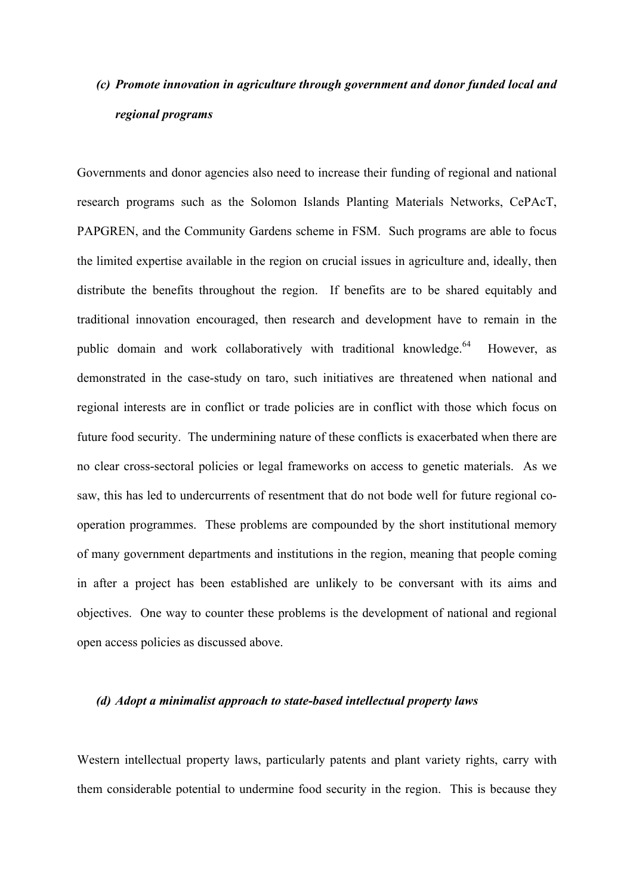## *(c) Promote innovation in agriculture through government and donor funded local and regional programs*

Governments and donor agencies also need to increase their funding of regional and national research programs such as the Solomon Islands Planting Materials Networks, CePAcT, PAPGREN, and the Community Gardens scheme in FSM. Such programs are able to focus the limited expertise available in the region on crucial issues in agriculture and, ideally, then distribute the benefits throughout the region. If benefits are to be shared equitably and traditional innovation encouraged, then research and development have to remain in the public domain and work collaboratively with traditional knowledge.<sup>64</sup> However, as demonstrated in the case-study on taro, such initiatives are threatened when national and regional interests are in conflict or trade policies are in conflict with those which focus on future food security. The undermining nature of these conflicts is exacerbated when there are no clear cross-sectoral policies or legal frameworks on access to genetic materials. As we saw, this has led to undercurrents of resentment that do not bode well for future regional cooperation programmes. These problems are compounded by the short institutional memory of many government departments and institutions in the region, meaning that people coming in after a project has been established are unlikely to be conversant with its aims and objectives. One way to counter these problems is the development of national and regional open access policies as discussed above.

#### *(d) Adopt a minimalist approach to state-based intellectual property laws*

Western intellectual property laws, particularly patents and plant variety rights, carry with them considerable potential to undermine food security in the region. This is because they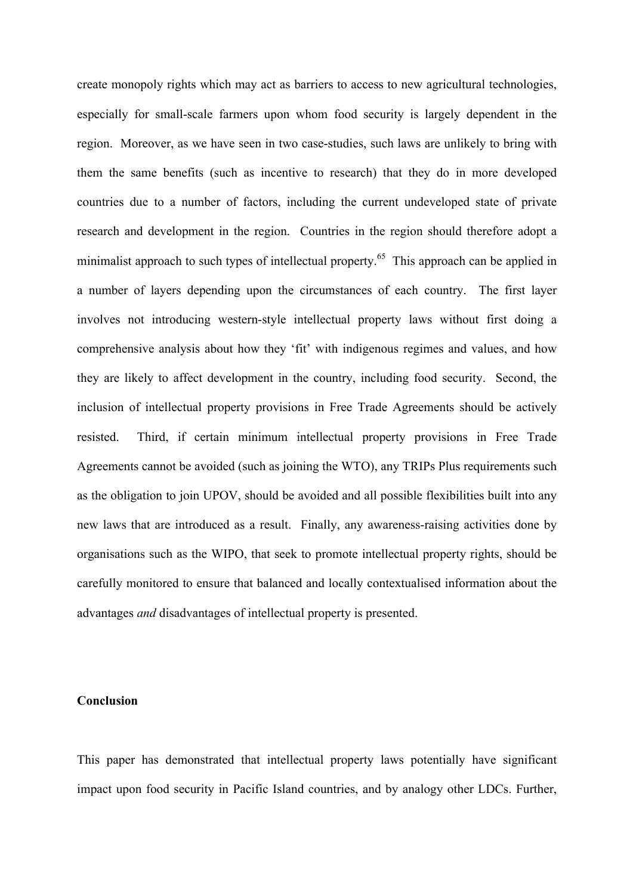create monopoly rights which may act as barriers to access to new agricultural technologies, especially for small-scale farmers upon whom food security is largely dependent in the region. Moreover, as we have seen in two case-studies, such laws are unlikely to bring with them the same benefits (such as incentive to research) that they do in more developed countries due to a number of factors, including the current undeveloped state of private research and development in the region. Countries in the region should therefore adopt a minimalist approach to such types of intellectual property.<sup>65</sup> This approach can be applied in a number of layers depending upon the circumstances of each country. The first layer involves not introducing western-style intellectual property laws without first doing a comprehensive analysis about how they 'fit' with indigenous regimes and values, and how they are likely to affect development in the country, including food security. Second, the inclusion of intellectual property provisions in Free Trade Agreements should be actively resisted. Third, if certain minimum intellectual property provisions in Free Trade Agreements cannot be avoided (such as joining the WTO), any TRIPs Plus requirements such as the obligation to join UPOV, should be avoided and all possible flexibilities built into any new laws that are introduced as a result. Finally, any awareness-raising activities done by organisations such as the WIPO, that seek to promote intellectual property rights, should be carefully monitored to ensure that balanced and locally contextualised information about the advantages *and* disadvantages of intellectual property is presented.

#### **Conclusion**

This paper has demonstrated that intellectual property laws potentially have significant impact upon food security in Pacific Island countries, and by analogy other LDCs. Further,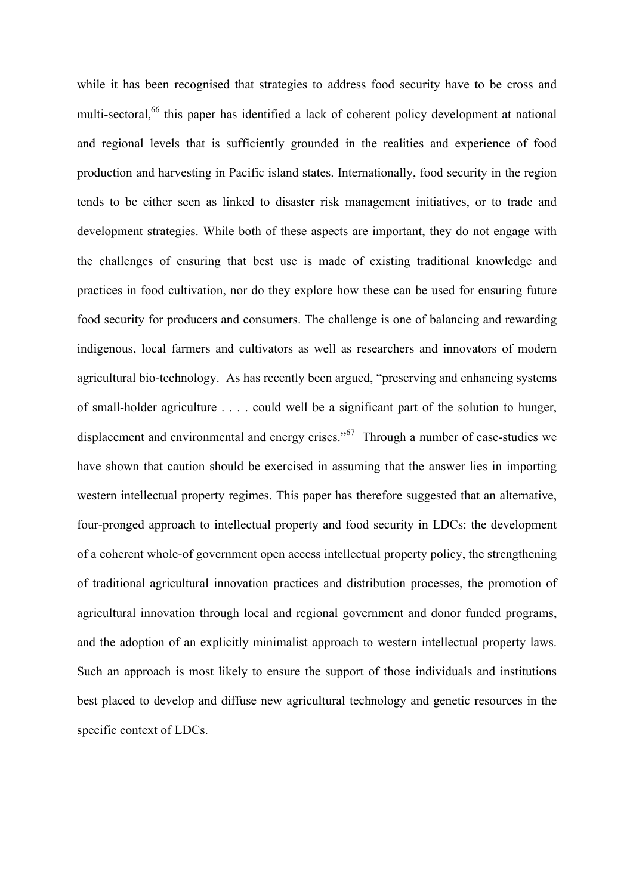while it has been recognised that strategies to address food security have to be cross and multi-sectoral,<sup>66</sup> this paper has identified a lack of coherent policy development at national and regional levels that is sufficiently grounded in the realities and experience of food production and harvesting in Pacific island states. Internationally, food security in the region tends to be either seen as linked to disaster risk management initiatives, or to trade and development strategies. While both of these aspects are important, they do not engage with the challenges of ensuring that best use is made of existing traditional knowledge and practices in food cultivation, nor do they explore how these can be used for ensuring future food security for producers and consumers. The challenge is one of balancing and rewarding indigenous, local farmers and cultivators as well as researchers and innovators of modern agricultural bio-technology. As has recently been argued, "preserving and enhancing systems of small-holder agriculture . . . . could well be a significant part of the solution to hunger, displacement and environmental and energy crises." $67$  Through a number of case-studies we have shown that caution should be exercised in assuming that the answer lies in importing western intellectual property regimes. This paper has therefore suggested that an alternative, four-pronged approach to intellectual property and food security in LDCs: the development of a coherent whole-of government open access intellectual property policy, the strengthening of traditional agricultural innovation practices and distribution processes, the promotion of agricultural innovation through local and regional government and donor funded programs, and the adoption of an explicitly minimalist approach to western intellectual property laws. Such an approach is most likely to ensure the support of those individuals and institutions best placed to develop and diffuse new agricultural technology and genetic resources in the specific context of LDCs.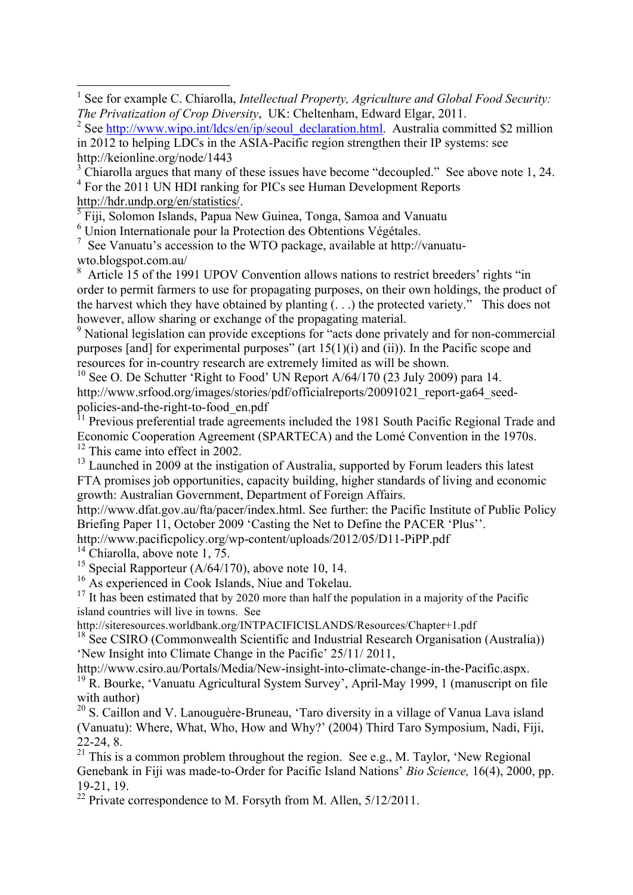5 Fiji, Solomon Islands, Papua New Guinea, Tonga, Samoa and Vanuatu

6 Union Internationale pour la Protection des Obtentions Végétales.

 $7$  See Vanuatu's accession to the WTO package, available at http://vanuatuwto.blogspot.com.au/

<sup>8</sup> Article 15 of the 1991 UPOV Convention allows nations to restrict breeders' rights "in order to permit farmers to use for propagating purposes, on their own holdings, the product of the harvest which they have obtained by planting (. . .) the protected variety." This does not however, allow sharing or exchange of the propagating material.

<sup>9</sup> National legislation can provide exceptions for "acts done privately and for non-commercial purposes [and] for experimental purposes" (art  $15(1)(i)$  and (ii)). In the Pacific scope and resources for in-country research are extremely limited as will be shown.

<sup>10</sup> See O. De Schutter 'Right to Food' UN Report  $A/64/170$  (23 July 2009) para 14. http://www.srfood.org/images/stories/pdf/officialreports/20091021\_report-ga64\_seedpolicies-and-the-right-to-food\_en.pdf

 $11$  Previous preferential trade agreements included the 1981 South Pacific Regional Trade and Economic Cooperation Agreement (SPARTECA) and the Lomé Convention in the 1970s. <sup>12</sup> This came into effect in 2002.

<sup>13</sup> Launched in 2009 at the instigation of Australia, supported by Forum leaders this latest FTA promises job opportunities, capacity building, higher standards of living and economic growth: Australian Government, Department of Foreign Affairs.

http://www.dfat.gov.au/fta/pacer/index.html. See further: the Pacific Institute of Public Policy Briefing Paper 11, October 2009 'Casting the Net to Define the PACER 'Plus''.

http://www.pacificpolicy.org/wp-content/uploads/2012/05/D11-PiPP.pdf

 $14$  Chiarolla, above note 1, 75.

<u> 1989 - Johann Barn, mars ann an t-Aonaich an t-Aonaich an t-Aonaich an t-Aonaich ann an t-Aonaich ann an t-Ao</u>

<sup>15</sup> Special Rapporteur  $(A/64/170)$ , above note 10, 14.

<sup>16</sup> As experienced in Cook Islands, Niue and Tokelau.

 $17$  It has been estimated that by 2020 more than half the population in a majority of the Pacific island countries will live in towns. See

http://siteresources.worldbank.org/INTPACIFICISLANDS/Resources/Chapter+1.pdf

 $18 \text{ See CSIRO (Commonwealth Scientific and Industrial Research Organization (Australia))}$ 'New Insight into Climate Change in the Pacific' 25/11/ 2011,

http://www.csiro.au/Portals/Media/New-insight-into-climate-change-in-the-Pacific.aspx.

<sup>19</sup> R. Bourke, 'Vanuatu Agricultural System Survey', April-May 1999, 1 (manuscript on file with author)

<sup>20</sup> S. Caillon and V. Lanouguère-Bruneau, 'Taro diversity in a village of Vanua Lava island (Vanuatu): Where, What, Who, How and Why?' (2004) Third Taro Symposium, Nadi, Fiji, 22-24, 8.

 $21$  This is a common problem throughout the region. See e.g., M. Taylor, 'New Regional Genebank in Fiji was made-to-Order for Pacific Island Nations' *Bio Science,* 16(4), 2000, pp. 19-21, 19.

<sup>22</sup> Private correspondence to M. Forsyth from M. Allen,  $5/12/2011$ .

<sup>&</sup>lt;sup>1</sup> See for example C. Chiarolla, *Intellectual Property, Agriculture and Global Food Security: The Privatization of Crop Diversity*, UK: Cheltenham, Edward Elgar, 2011.

<sup>&</sup>lt;sup>2</sup> See http://www.wipo.int/ldcs/en/ip/seoul\_declaration.html. Australia committed \$2 million in 2012 to helping LDCs in the ASIA-Pacific region strengthen their IP systems: see http://keionline.org/node/1443

 $3$  Chiarolla argues that many of these issues have become "decoupled." See above note 1, 24.

<sup>&</sup>lt;sup>4</sup> For the 2011 UN HDI ranking for PICs see Human Development Reports http://hdr.undp.org/en/statistics/.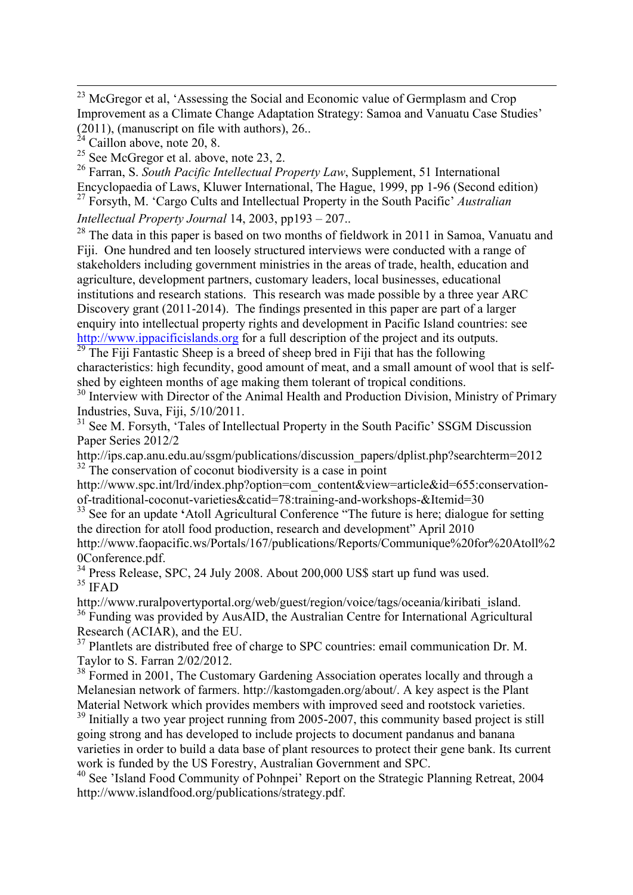<u> 1989 - Andrea Santa Andrea Andrea Andrea Andrea Andrea Andrea Andrea Andrea Andrea Andrea Andrea Andrea Andr</u>

<sup>26</sup> Farran, S. *South Pacific Intellectual Property Law*, Supplement, 51 International Encyclopaedia of Laws, Kluwer International, The Hague, 1999, pp 1-96 (Second edition) <sup>27</sup> Forsyth, M. 'Cargo Cults and Intellectual Property in the South Pacific' *Australian* 

*Intellectual Property Journal* 14, 2003, pp193 – 207..

<sup>28</sup> The data in this paper is based on two months of fieldwork in 2011 in Samoa, Vanuatu and Fiji. One hundred and ten loosely structured interviews were conducted with a range of stakeholders including government ministries in the areas of trade, health, education and agriculture, development partners, customary leaders, local businesses, educational institutions and research stations. This research was made possible by a three year ARC Discovery grant (2011-2014). The findings presented in this paper are part of a larger enquiry into intellectual property rights and development in Pacific Island countries: see http://www.ippacificislands.org for a full description of the project and its outputs.

 $29$  The Fiji Fantastic Sheep is a breed of sheep bred in Fiji that has the following characteristics: high fecundity, good amount of meat, and a small amount of wool that is selfshed by eighteen months of age making them tolerant of tropical conditions.

<sup>30</sup> Interview with Director of the Animal Health and Production Division, Ministry of Primary Industries, Suva, Fiji, 5/10/2011.

<sup>31</sup> See M. Forsyth, 'Tales of Intellectual Property in the South Pacific' SSGM Discussion Paper Series 2012/2

http://ips.cap.anu.edu.au/ssgm/publications/discussion\_papers/dplist.php?searchterm=2012  $32$  The conservation of coconut biodiversity is a case in point

http://www.spc.int/lrd/index.php?option=com\_content&view=article&id=655:conservationof-traditional-coconut-varieties&catid=78:training-and-workshops-&Itemid=30

<sup>33</sup> See for an update 'Atoll Agricultural Conference "The future is here; dialogue for setting the direction for atoll food production, research and development" April 2010 http://www.faopacific.ws/Portals/167/publications/Reports/Communique%20for%20Atoll%2

0Conference.pdf.

<sup>34</sup> Press Release, SPC, 24 July 2008. About 200,000 US\$ start up fund was used.  $35$  IFAD

http://www.ruralpovertyportal.org/web/guest/region/voice/tags/oceania/kiribati\_island. <sup>36</sup> Funding was provided by AusAID, the Australian Centre for International Agricultural Research (ACIAR), and the EU.

<sup>37</sup> Plantlets are distributed free of charge to SPC countries: email communication Dr. M. Taylor to S. Farran 2/02/2012.

<sup>38</sup> Formed in 2001, The Customary Gardening Association operates locally and through a Melanesian network of farmers. http://kastomgaden.org/about/. A key aspect is the Plant Material Network which provides members with improved seed and rootstock varieties.

 $39$  Initially a two year project running from 2005-2007, this community based project is still going strong and has developed to include projects to document pandanus and banana varieties in order to build a data base of plant resources to protect their gene bank. Its current work is funded by the US Forestry, Australian Government and SPC.

<sup>40</sup> See 'Island Food Community of Pohnpei' Report on the Strategic Planning Retreat, 2004 http://www.islandfood.org/publications/strategy.pdf.

<sup>&</sup>lt;sup>23</sup> McGregor et al, 'Assessing the Social and Economic value of Germplasm and Crop Improvement as a Climate Change Adaptation Strategy: Samoa and Vanuatu Case Studies' (2011), (manuscript on file with authors), 26..

 $^{24}$  Caillon above, note 20, 8.

 $25$  See McGregor et al. above, note 23, 2.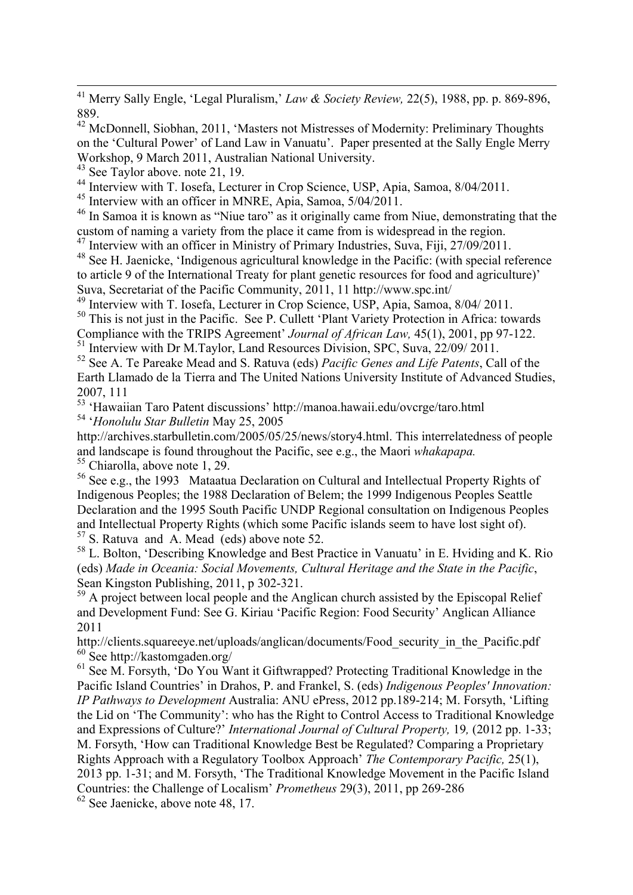<sup>41</sup> Merry Sally Engle, 'Legal Pluralism,' *Law & Society Review,* 22(5), 1988, pp. p. 869-896, 889.

<u> 1989 - Andrea Santa Andrea Andrea Andrea Andrea Andrea Andrea Andrea Andrea Andrea Andrea Andrea Andrea Andr</u>

<sup>42</sup> McDonnell, Siobhan, 2011, 'Masters not Mistresses of Modernity: Preliminary Thoughts on the 'Cultural Power' of Land Law in Vanuatu'. Paper presented at the Sally Engle Merry Workshop, 9 March 2011, Australian National University.

 $^{43}$  See Taylor above. note 21, 19.

<sup>44</sup> Interview with T. Iosefa, Lecturer in Crop Science, USP, Apia, Samoa, 8/04/2011.

<sup>45</sup> Interview with an officer in MNRE, Apia, Samoa, 5/04/2011.

<sup>46</sup> In Samoa it is known as "Niue taro" as it originally came from Niue, demonstrating that the custom of naming a variety from the place it came from is widespread in the region.

<sup>47</sup> Interview with an officer in Ministry of Primary Industries, Suva, Fiji, 27/09/2011.

48 See H. Jaenicke, 'Indigenous agricultural knowledge in the Pacific: (with special reference to article 9 of the International Treaty for plant genetic resources for food and agriculture)' Suva, Secretariat of the Pacific Community, 2011, 11 http://www.spc.int/

<sup>49</sup> Interview with T. Iosefa, Lecturer in Crop Science, USP, Apia, Samoa, 8/04/ 2011.

<sup>50</sup> This is not just in the Pacific. See P. Cullett 'Plant Variety Protection in Africa: towards

Compliance with the TRIPS Agreement' *Journal of African Law,* 45(1), 2001, pp 97-122.

<sup>51</sup> Interview with Dr M.Taylor, Land Resources Division, SPC, Suva, 22/09/ 2011.

<sup>52</sup> See A. Te Pareake Mead and S. Ratuva (eds) *Pacific Genes and Life Patents*, Call of the Earth Llamado de la Tierra and The United Nations University Institute of Advanced Studies, 2007, 111

<sup>53</sup> 'Hawaiian Taro Patent discussions' http://manoa.hawaii.edu/ovcrge/taro.html <sup>54</sup> '*Honolulu Star Bulletin* May 25, 2005

http://archives.starbulletin.com/2005/05/25/news/story4.html. This interrelatedness of people and landscape is found throughout the Pacific, see e.g., the Maori *whakapapa*. <sup>55</sup> Chiarolla, above note 1, 29.

<sup>56</sup> See e.g., the 1993 Mataatua Declaration on Cultural and Intellectual Property Rights of Indigenous Peoples; the 1988 Declaration of Belem; the 1999 Indigenous Peoples Seattle Declaration and the 1995 South Pacific UNDP Regional consultation on Indigenous Peoples and Intellectual Property Rights (which some Pacific islands seem to have lost sight of). <sup>57</sup> S. Ratuva and A. Mead (eds) above note 52.

<sup>58</sup> L. Bolton, 'Describing Knowledge and Best Practice in Vanuatu' in E. Hviding and K. Rio (eds) *Made in Oceania: Social Movements, Cultural Heritage and the State in the Pacific*, Sean Kingston Publishing, 2011, p 302-321.

 $59$  A project between local people and the Anglican church assisted by the Episcopal Relief and Development Fund: See G. Kiriau 'Pacific Region: Food Security' Anglican Alliance 2011

http://clients.squareeye.net/uploads/anglican/documents/Food\_security\_in\_the\_Pacific.pdf <sup>60</sup> See http://kastomgaden.org/

<sup>61</sup> See M. Forsyth, 'Do You Want it Giftwrapped? Protecting Traditional Knowledge in the Pacific Island Countries' in Drahos, P. and Frankel, S. (eds) *Indigenous Peoples' Innovation: IP Pathways to Development* Australia: ANU ePress, 2012 pp.189-214; M. Forsyth, 'Lifting the Lid on 'The Community': who has the Right to Control Access to Traditional Knowledge and Expressions of Culture?' *International Journal of Cultural Property,* 19*,* (2012 pp. 1-33; M. Forsyth, 'How can Traditional Knowledge Best be Regulated? Comparing a Proprietary Rights Approach with a Regulatory Toolbox Approach' *The Contemporary Pacific,* 25(1), 2013 pp. 1-31; and M. Forsyth, 'The Traditional Knowledge Movement in the Pacific Island Countries: the Challenge of Localism' *Prometheus* 29(3), 2011, pp 269-286

<sup>62</sup> See Jaenicke, above note 48, 17.